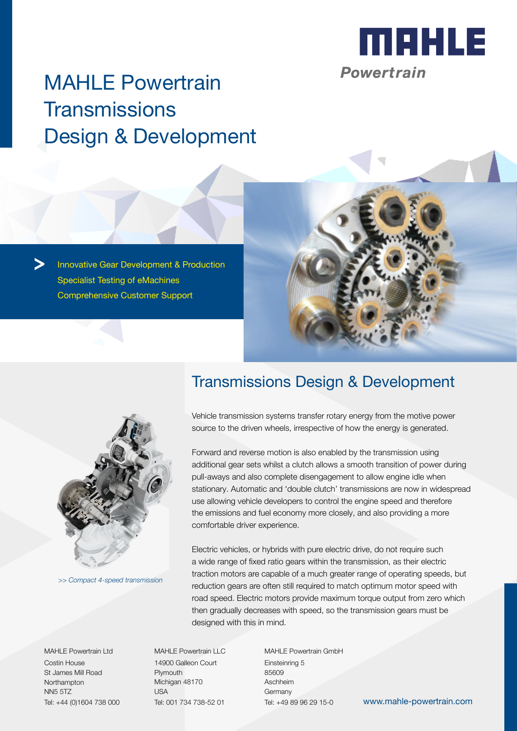

# MAHLE Powertrain **Transmissions** Design & Development

Innovative Gear Development & Production Specialist Testing of eMachines Comprehensive Customer Support





*>> Compact 4-speed transmission*

MAHLE Powertrain Ltd Costin House St James Mill Road **Northampton** NN5 5TZ Tel: +44 (0)1604 738 000

## Transmissions Design & Development

Vehicle transmission systems transfer rotary energy from the motive power source to the driven wheels, irrespective of how the energy is generated.

Forward and reverse motion is also enabled by the transmission using additional gear sets whilst a clutch allows a smooth transition of power during pull-aways and also complete disengagement to allow engine idle when stationary. Automatic and 'double clutch' transmissions are now in widespread use allowing vehicle developers to control the engine speed and therefore the emissions and fuel economy more closely, and also providing a more comfortable driver experience.

Electric vehicles, or hybrids with pure electric drive, do not require such a wide range of fixed ratio gears within the transmission, as their electric traction motors are capable of a much greater range of operating speeds, but reduction gears are often still required to match optimum motor speed with road speed. Electric motors provide maximum torque output from zero which then gradually decreases with speed, so the transmission gears must be designed with this in mind.

MAHLE Powertrain LLC 14900 Galleon Court Plymouth Michigan 48170 USA Tel: 001 734 738-52 01

MAHLE Powertrain GmbH Einsteinring 5 85609 Aschheim Germany

Tel: +49 89 96 29 15-0 www.mahle-powertrain.com